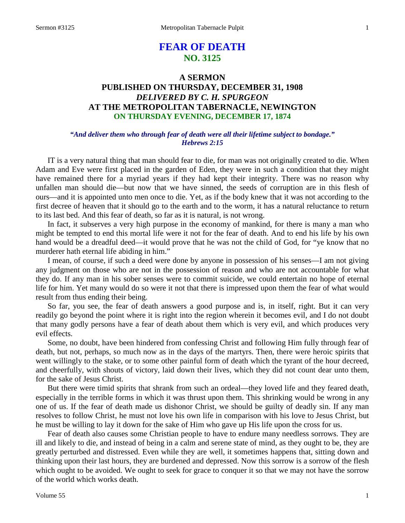# **FEAR OF DEATH NO. 3125**

## **A SERMON PUBLISHED ON THURSDAY, DECEMBER 31, 1908** *DELIVERED BY C. H. SPURGEON* **AT THE METROPOLITAN TABERNACLE, NEWINGTON ON THURSDAY EVENING, DECEMBER 17, 1874**

### *"And deliver them who through fear of death were all their lifetime subject to bondage." Hebrews 2:15*

IT is a very natural thing that man should fear to die, for man was not originally created to die. When Adam and Eve were first placed in the garden of Eden, they were in such a condition that they might have remained there for a myriad years if they had kept their integrity. There was no reason why unfallen man should die—but now that we have sinned, the seeds of corruption are in this flesh of ours—and it is appointed unto men once to die. Yet, as if the body knew that it was not according to the first decree of heaven that it should go to the earth and to the worm, it has a natural reluctance to return to its last bed. And this fear of death, so far as it is natural, is not wrong.

In fact, it subserves a very high purpose in the economy of mankind, for there is many a man who might be tempted to end this mortal life were it not for the fear of death. And to end his life by his own hand would be a dreadful deed—it would prove that he was not the child of God, for "ye know that no murderer hath eternal life abiding in him."

I mean, of course, if such a deed were done by anyone in possession of his senses—I am not giving any judgment on those who are not in the possession of reason and who are not accountable for what they do. If any man in his sober senses were to commit suicide, we could entertain no hope of eternal life for him. Yet many would do so were it not that there is impressed upon them the fear of what would result from thus ending their being.

So far, you see, the fear of death answers a good purpose and is, in itself, right. But it can very readily go beyond the point where it is right into the region wherein it becomes evil, and I do not doubt that many godly persons have a fear of death about them which is very evil, and which produces very evil effects.

Some, no doubt, have been hindered from confessing Christ and following Him fully through fear of death, but not, perhaps, so much now as in the days of the martyrs. Then, there were heroic spirits that went willingly to the stake, or to some other painful form of death which the tyrant of the hour decreed, and cheerfully, with shouts of victory, laid down their lives, which they did not count dear unto them, for the sake of Jesus Christ.

But there were timid spirits that shrank from such an ordeal—they loved life and they feared death, especially in the terrible forms in which it was thrust upon them. This shrinking would be wrong in any one of us. If the fear of death made us dishonor Christ, we should be guilty of deadly sin. If any man resolves to follow Christ, he must not love his own life in comparison with his love to Jesus Christ, but he must be willing to lay it down for the sake of Him who gave up His life upon the cross for us.

Fear of death also causes some Christian people to have to endure many needless sorrows. They are ill and likely to die, and instead of being in a calm and serene state of mind, as they ought to be, they are greatly perturbed and distressed. Even while they are well, it sometimes happens that, sitting down and thinking upon their last hours, they are burdened and depressed. Now this sorrow is a sorrow of the flesh which ought to be avoided. We ought to seek for grace to conquer it so that we may not have the sorrow of the world which works death.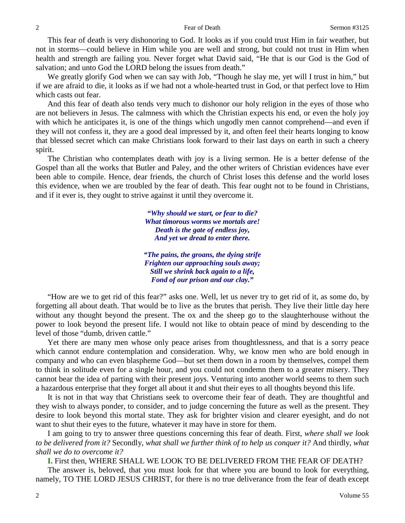This fear of death is very dishonoring to God. It looks as if you could trust Him in fair weather, but not in storms—could believe in Him while you are well and strong, but could not trust in Him when health and strength are failing you. Never forget what David said, "He that is our God is the God of salvation; and unto God the LORD belong the issues from death."

We greatly glorify God when we can say with Job, "Though he slay me, yet will I trust in him," but if we are afraid to die, it looks as if we had not a whole-hearted trust in God, or that perfect love to Him which casts out fear.

And this fear of death also tends very much to dishonor our holy religion in the eyes of those who are not believers in Jesus. The calmness with which the Christian expects his end, or even the holy joy with which he anticipates it, is one of the things which ungodly men cannot comprehend—and even if they will not confess it, they are a good deal impressed by it, and often feel their hearts longing to know that blessed secret which can make Christians look forward to their last days on earth in such a cheery spirit.

The Christian who contemplates death with joy is a living sermon. He is a better defense of the Gospel than all the works that Butler and Paley, and the other writers of Christian evidences have ever been able to compile. Hence, dear friends, the church of Christ loses this defense and the world loses this evidence, when we are troubled by the fear of death. This fear ought not to be found in Christians, and if it ever is, they ought to strive against it until they overcome it.

> *"Why should we start, or fear to die? What timorous worms we mortals are! Death is the gate of endless joy, And yet we dread to enter there.*

*"The pains, the groans, the dying strife Frighten our approaching souls away; Still we shrink back again to a life, Fond of our prison and our clay."*

"How are we to get rid of this fear?" asks one. Well, let us never try to get rid of it, as some do, by forgetting all about death. That would be to live as the brutes that perish. They live their little day here without any thought beyond the present. The ox and the sheep go to the slaughterhouse without the power to look beyond the present life. I would not like to obtain peace of mind by descending to the level of those "dumb, driven cattle."

Yet there are many men whose only peace arises from thoughtlessness, and that is a sorry peace which cannot endure contemplation and consideration. Why, we know men who are bold enough in company and who can even blaspheme God—but set them down in a room by themselves, compel them to think in solitude even for a single hour, and you could not condemn them to a greater misery. They cannot bear the idea of parting with their present joys. Venturing into another world seems to them such a hazardous enterprise that they forget all about it and shut their eyes to all thoughts beyond this life.

It is not in that way that Christians seek to overcome their fear of death. They are thoughtful and they wish to always ponder, to consider, and to judge concerning the future as well as the present. They desire to look beyond this mortal state. They ask for brighter vision and clearer eyesight, and do not want to shut their eyes to the future, whatever it may have in store for them.

I am going to try to answer three questions concerning this fear of death. First, *where shall we look to be delivered from it?* Secondly, *what shall we further think of to help us conquer it?* And thirdly, *what shall we do to overcome it?*

**I.** First then, WHERE SHALL WE LOOK TO BE DELIVERED FROM THE FEAR OF DEATH?

The answer is, beloved, that you must look for that where you are bound to look for everything, namely, TO THE LORD JESUS CHRIST, for there is no true deliverance from the fear of death except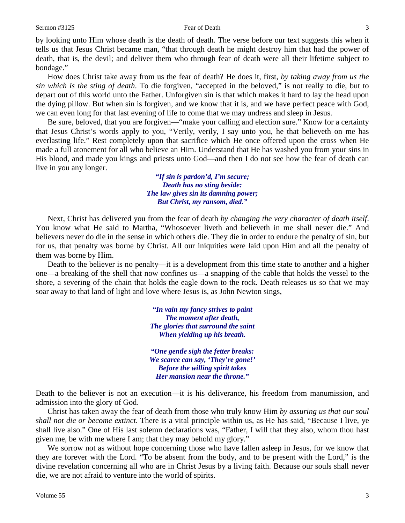by looking unto Him whose death is the death of death. The verse before our text suggests this when it tells us that Jesus Christ became man, "that through death he might destroy him that had the power of death, that is, the devil; and deliver them who through fear of death were all their lifetime subject to bondage."

How does Christ take away from us the fear of death? He does it, first, *by taking away from us the sin which is the sting of death*. To die forgiven, "accepted in the beloved," is not really to die, but to depart out of this world unto the Father. Unforgiven sin is that which makes it hard to lay the head upon the dying pillow. But when sin is forgiven, and we know that it is, and we have perfect peace with God, we can even long for that last evening of life to come that we may undress and sleep in Jesus.

Be sure, beloved, that you are forgiven—"make your calling and election sure." Know for a certainty that Jesus Christ's words apply to you, "Verily, verily, I say unto you, he that believeth on me has everlasting life." Rest completely upon that sacrifice which He once offered upon the cross when He made a full atonement for all who believe an Him. Understand that He has washed you from your sins in His blood, and made you kings and priests unto God—and then I do not see how the fear of death can live in you any longer.

> *"If sin is pardon'd, I'm secure; Death has no sting beside: The law gives sin its damning power; But Christ, my ransom, died."*

Next, Christ has delivered you from the fear of death *by changing the very character of death itself*. You know what He said to Martha, "Whosoever liveth and believeth in me shall never die." And believers never do die in the sense in which others die. They die in order to endure the penalty of sin, but for us, that penalty was borne by Christ. All our iniquities were laid upon Him and all the penalty of them was borne by Him.

Death to the believer is no penalty—it is a development from this time state to another and a higher one—a breaking of the shell that now confines us—a snapping of the cable that holds the vessel to the shore, a severing of the chain that holds the eagle down to the rock. Death releases us so that we may soar away to that land of light and love where Jesus is, as John Newton sings,

> *"In vain my fancy strives to paint The moment after death, The glories that surround the saint When yielding up his breath.*

> *"One gentle sigh the fetter breaks: We scarce can say, 'They're gone!' Before the willing spirit takes Her mansion near the throne."*

Death to the believer is not an execution—it is his deliverance, his freedom from manumission, and admission into the glory of God.

Christ has taken away the fear of death from those who truly know Him *by assuring us that our soul shall not die or become extinct*. There is a vital principle within us, as He has said, "Because I live, ye shall live also." One of His last solemn declarations was, "Father, I will that they also, whom thou hast given me, be with me where I am; that they may behold my glory."

We sorrow not as without hope concerning those who have fallen asleep in Jesus, for we know that they are forever with the Lord. "To be absent from the body, and to be present with the Lord," is the divine revelation concerning all who are in Christ Jesus by a living faith. Because our souls shall never die, we are not afraid to venture into the world of spirits.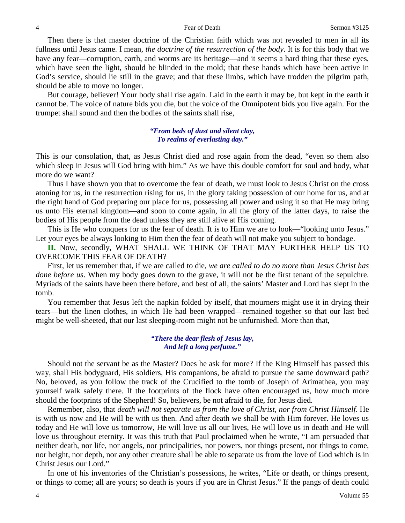Then there is that master doctrine of the Christian faith which was not revealed to men in all its fullness until Jesus came. I mean, *the doctrine of the resurrection of the body*. It is for this body that we have any fear—corruption, earth, and worms are its heritage—and it seems a hard thing that these eyes, which have seen the light, should be blinded in the mold; that these hands which have been active in God's service, should lie still in the grave; and that these limbs, which have trodden the pilgrim path, should be able to move no longer.

But courage, believer! Your body shall rise again. Laid in the earth it may be, but kept in the earth it cannot be. The voice of nature bids you die, but the voice of the Omnipotent bids you live again. For the trumpet shall sound and then the bodies of the saints shall rise,

### *"From beds of dust and silent clay, To realms of everlasting day."*

This is our consolation, that, as Jesus Christ died and rose again from the dead, "even so them also which sleep in Jesus will God bring with him." As we have this double comfort for soul and body, what more do we want?

Thus I have shown you that to overcome the fear of death, we must look to Jesus Christ on the cross atoning for us, in the resurrection rising for us, in the glory taking possession of our home for us, and at the right hand of God preparing our place for us, possessing all power and using it so that He may bring us unto His eternal kingdom—and soon to come again, in all the glory of the latter days, to raise the bodies of His people from the dead unless they are still alive at His coming.

This is He who conquers for us the fear of death. It is to Him we are to look—"looking unto Jesus." Let your eyes be always looking to Him then the fear of death will not make you subject to bondage.

**II.** Now, secondly, WHAT SHALL WE THINK OF THAT MAY FURTHER HELP US TO OVERCOME THIS FEAR OF DEATH?

First, let us remember that, if we are called to die, *we are called to do no more than Jesus Christ has done before us*. When my body goes down to the grave, it will not be the first tenant of the sepulchre. Myriads of the saints have been there before, and best of all, the saints' Master and Lord has slept in the tomb.

You remember that Jesus left the napkin folded by itself, that mourners might use it in drying their tears—but the linen clothes, in which He had been wrapped—remained together so that our last bed might be well-sheeted, that our last sleeping-room might not be unfurnished. More than that,

### *"There the dear flesh of Jesus lay, And left a long perfume."*

Should not the servant be as the Master? Does he ask for more? If the King Himself has passed this way, shall His bodyguard, His soldiers, His companions, be afraid to pursue the same downward path? No, beloved, as you follow the track of the Crucified to the tomb of Joseph of Arimathea, you may yourself walk safely there. If the footprints of the flock have often encouraged us, how much more should the footprints of the Shepherd! So, believers, be not afraid to die, for Jesus died.

Remember, also, that *death will not separate us from the love of Christ, nor from Christ Himself*. He is with us now and He will be with us then. And after death we shall be with Him forever. He loves us today and He will love us tomorrow, He will love us all our lives, He will love us in death and He will love us throughout eternity. It was this truth that Paul proclaimed when he wrote, "I am persuaded that neither death, nor life, nor angels, nor principalities, nor powers, nor things present, nor things to come, nor height, nor depth, nor any other creature shall be able to separate us from the love of God which is in Christ Jesus our Lord."

In one of his inventories of the Christian's possessions, he writes, "Life or death, or things present, or things to come; all are yours; so death is yours if you are in Christ Jesus." If the pangs of death could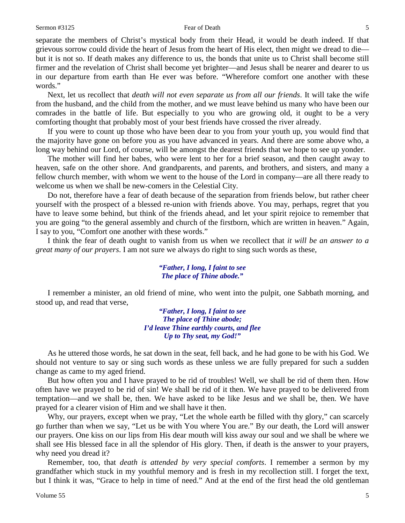separate the members of Christ's mystical body from their Head, it would be death indeed. If that grievous sorrow could divide the heart of Jesus from the heart of His elect, then might we dread to die but it is not so. If death makes any difference to us, the bonds that unite us to Christ shall become still firmer and the revelation of Christ shall become yet brighter—and Jesus shall be nearer and dearer to us in our departure from earth than He ever was before. "Wherefore comfort one another with these words."

Next, let us recollect that *death will not even separate us from all our friends*. It will take the wife from the husband, and the child from the mother, and we must leave behind us many who have been our comrades in the battle of life. But especially to you who are growing old, it ought to be a very comforting thought that probably most of your best friends have crossed the river already.

If you were to count up those who have been dear to you from your youth up, you would find that the majority have gone on before you as you have advanced in years. And there are some above who, a long way behind our Lord, of course, will be amongst the dearest friends that we hope to see up yonder.

The mother will find her babes, who were lent to her for a brief season, and then caught away to heaven, safe on the other shore. And grandparents, and parents, and brothers, and sisters, and many a fellow church member, with whom we went to the house of the Lord in company—are all there ready to welcome us when we shall be new-comers in the Celestial City.

Do not, therefore have a fear of death because of the separation from friends below, but rather cheer yourself with the prospect of a blessed re-union with friends above. You may, perhaps, regret that you have to leave some behind, but think of the friends ahead, and let your spirit rejoice to remember that you are going "to the general assembly and church of the firstborn, which are written in heaven." Again, I say to you, "Comfort one another with these words."

I think the fear of death ought to vanish from us when we recollect that *it will be an answer to a great many of our prayers*. I am not sure we always do right to sing such words as these,

### *"Father, I long, I faint to see The place of Thine abode."*

I remember a minister, an old friend of mine, who went into the pulpit, one Sabbath morning, and stood up, and read that verse,

> *"Father, I long, I faint to see The place of Thine abode; I'd leave Thine earthly courts, and flee Up to Thy seat, my God!"*

As he uttered those words, he sat down in the seat, fell back, and he had gone to be with his God. We should not venture to say or sing such words as these unless we are fully prepared for such a sudden change as came to my aged friend.

But how often you and I have prayed to be rid of troubles! Well, we shall be rid of them then. How often have we prayed to be rid of sin! We shall be rid of it then. We have prayed to be delivered from temptation—and we shall be, then. We have asked to be like Jesus and we shall be, then. We have prayed for a clearer vision of Him and we shall have it then.

Why, our prayers, except when we pray, "Let the whole earth be filled with thy glory," can scarcely go further than when we say, "Let us be with You where You are." By our death, the Lord will answer our prayers. One kiss on our lips from His dear mouth will kiss away our soul and we shall be where we shall see His blessed face in all the splendor of His glory. Then, if death is the answer to your prayers, why need you dread it?

Remember, too, that *death is attended by very special comforts*. I remember a sermon by my grandfather which stuck in my youthful memory and is fresh in my recollection still. I forget the text, but I think it was, "Grace to help in time of need." And at the end of the first head the old gentleman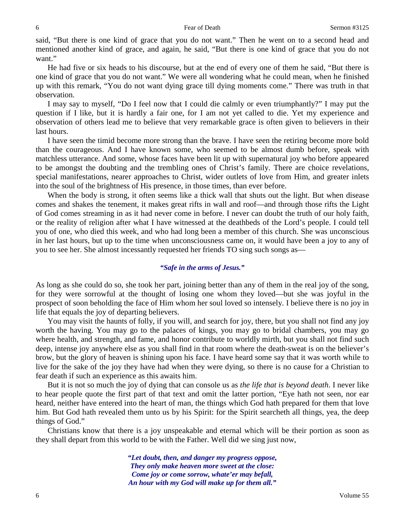said, "But there is one kind of grace that you do not want." Then he went on to a second head and mentioned another kind of grace, and again, he said, "But there is one kind of grace that you do not want."

He had five or six heads to his discourse, but at the end of every one of them he said, "But there is one kind of grace that you do not want." We were all wondering what he could mean, when he finished up with this remark, "You do not want dying grace till dying moments come." There was truth in that observation.

I may say to myself, "Do I feel now that I could die calmly or even triumphantly?" I may put the question if I like, but it is hardly a fair one, for I am not yet called to die. Yet my experience and observation of others lead me to believe that very remarkable grace is often given to believers in their last hours.

I have seen the timid become more strong than the brave. I have seen the retiring become more bold than the courageous. And I have known some, who seemed to be almost dumb before, speak with matchless utterance. And some, whose faces have been lit up with supernatural joy who before appeared to be amongst the doubting and the trembling ones of Christ's family. There are choice revelations, special manifestations, nearer approaches to Christ, wider outlets of love from Him, and greater inlets into the soul of the brightness of His presence, in those times, than ever before.

When the body is strong, it often seems like a thick wall that shuts out the light. But when disease comes and shakes the tenement, it makes great rifts in wall and roof—and through those rifts the Light of God comes streaming in as it had never come in before. I never can doubt the truth of our holy faith, or the reality of religion after what I have witnessed at the deathbeds of the Lord's people. I could tell you of one, who died this week, and who had long been a member of this church. She was unconscious in her last hours, but up to the time when unconsciousness came on, it would have been a joy to any of you to see her. She almost incessantly requested her friends TO sing such songs as—

### *"Safe in the arms of Jesus."*

As long as she could do so, she took her part, joining better than any of them in the real joy of the song, for they were sorrowful at the thought of losing one whom they loved—but she was joyful in the prospect of soon beholding the face of Him whom her soul loved so intensely. I believe there is no joy in life that equals the joy of departing believers.

You may visit the haunts of folly, if you will, and search for joy, there, but you shall not find any joy worth the having. You may go to the palaces of kings, you may go to bridal chambers, you may go where health, and strength, and fame, and honor contribute to worldly mirth, but you shall not find such deep, intense joy anywhere else as you shall find in that room where the death-sweat is on the believer's brow, but the glory of heaven is shining upon his face. I have heard some say that it was worth while to live for the sake of the joy they have had when they were dying, so there is no cause for a Christian to fear death if such an experience as this awaits him.

But it is not so much the joy of dying that can console us as *the life that is beyond death*. I never like to hear people quote the first part of that text and omit the latter portion, "Eye hath not seen, nor ear heard, neither have entered into the heart of man, the things which God hath prepared for them that love him. But God hath revealed them unto us by his Spirit: for the Spirit searcheth all things, yea, the deep things of God."

Christians know that there is a joy unspeakable and eternal which will be their portion as soon as they shall depart from this world to be with the Father. Well did we sing just now,

> *"Let doubt, then, and danger my progress oppose, They only make heaven more sweet at the close: Come joy or come sorrow, whate'er may befall, An hour with my God will make up for them all."*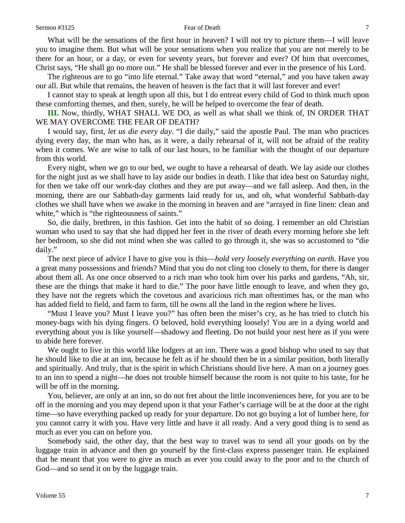What will be the sensations of the first hour in heaven? I will not try to picture them—I will leave you to imagine them. But what will be your sensations when you realize that you are not merely to be there for an hour, or a day, or even for seventy years, but forever and ever? Of him that overcomes, Christ says, "He shall go no more out." He shall be blessed forever and ever in the presence of his Lord.

The righteous are to go "into life eternal." Take away that word "eternal," and you have taken away our all. But while that remains, the heaven of heaven is the fact that it will last forever and ever!

I cannot stay to speak at length upon all this, but I do entreat every child of God to think much upon these comforting themes, and then, surely, he will be helped to overcome the fear of death.

**III.** Now, thirdly, WHAT SHALL WE DO, as well as what shall we think of, IN ORDER THAT WE MAY OVERCOME THE FEAR OF DEATH?

I would say, first, *let us die every day*. "I die daily," said the apostle Paul. The man who practices dying every day, the man who has, as it were, a daily rehearsal of it, will not be afraid of the reality when it comes. We are wise to talk of our last hours, to be familiar with the thought of our departure from this world.

Every night, when we go to our bed, we ought to have a rehearsal of death. We lay aside our clothes for the night just as we shall have to lay aside our bodies in death. I like that idea best on Saturday night, for then we take off our work-day clothes and they are put away—and we fall asleep. And then, in the morning, there are our Sabbath-day garments laid ready for us, and oh, what wonderful Sabbath-day clothes we shall have when we awake in the morning in heaven and are "arrayed in fine linen: clean and white," which is "the righteousness of saints."

So, die daily, brethren, in this fashion. Get into the habit of so doing. I remember an old Christian woman who used to say that she had dipped her feet in the river of death every morning before she left her bedroom, so she did not mind when she was called to go through it, she was so accustomed to "die daily."

The next piece of advice I have to give you is this—*hold very loosely everything on earth*. Have you a great many possessions and friends? Mind that you do not cling too closely to them, for there is danger about them all. As one once observed to a rich man who took him over his parks and gardens, "Ah, sir, these are the things that make it hard to die." The poor have little enough to leave, and when they go, they have not the regrets which the covetous and avaricious rich man oftentimes has, or the man who has added field to field, and farm to farm, till he owns all the land in the region where he lives.

"Must I leave you? Must I leave you?" has often been the miser's cry, as he has tried to clutch his money-bags with his dying fingers. O beloved, hold everything loosely! You are in a dying world and everything about you is like yourself—shadowy and fleeting. Do not build your nest here as if you were to abide here forever.

We ought to live in this world like lodgers at an inn. There was a good bishop who used to say that he should like to die at an inn, because he felt as if he should then be in a similar position, both literally and spiritually. And truly, that is the spirit in which Christians should live here. A man on a journey goes to an inn to spend a night—he does not trouble himself because the room is not quite to his taste, for he will be off in the morning.

You, believer, are only at an inn, so do not fret about the little inconveniences here, for you are to be off in the morning and you may depend upon it that your Father's carriage will be at the door at the right time—so have everything packed up ready for your departure. Do not go buying a lot of lumber here, for you cannot carry it with you. Have very little and have it all ready. And a very good thing is to send as much as ever you can on before you.

Somebody said, the other day, that the best way to travel was to send all your goods on by the luggage train in advance and then go yourself by the first-class express passenger train. He explained that he meant that you were to give as much as ever you could away to the poor and to the church of God—and so send it on by the luggage train.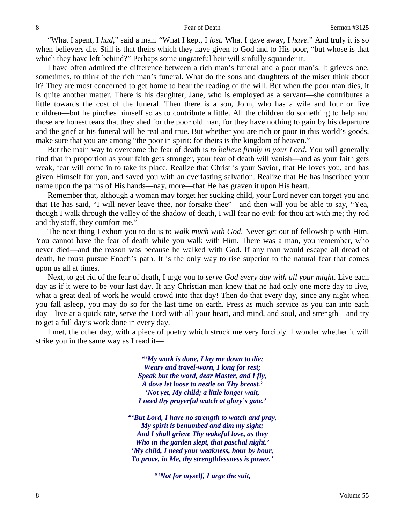"What I spent, I *had*," said a man. "What I kept, I *lost.* What I gave away, I *have.*" And truly it is so when believers die. Still is that theirs which they have given to God and to His poor, "but whose is that which they have left behind?" Perhaps some ungrateful heir will sinfully squander it.

I have often admired the difference between a rich man's funeral and a poor man's. It grieves one, sometimes, to think of the rich man's funeral. What do the sons and daughters of the miser think about it? They are most concerned to get home to hear the reading of the will. But when the poor man dies, it is quite another matter. There is his daughter, Jane, who is employed as a servant—she contributes a little towards the cost of the funeral. Then there is a son, John, who has a wife and four or five children—but he pinches himself so as to contribute a little. All the children do something to help and those are honest tears that they shed for the poor old man, for they have nothing to gain by his departure and the grief at his funeral will be real and true. But whether you are rich or poor in this world's goods, make sure that you are among "the poor in spirit: for theirs is the kingdom of heaven."

But the main way to overcome the fear of death is *to believe firmly in your Lord*. You will generally find that in proportion as your faith gets stronger, your fear of death will vanish—and as your faith gets weak, fear will come in to take its place. Realize that Christ is your Savior, that He loves you, and has given Himself for you, and saved you with an everlasting salvation. Realize that He has inscribed your name upon the palms of His hands—nay, more—that He has graven it upon His heart.

Remember that, although a woman may forget her sucking child, your Lord never can forget you and that He has said, "I will never leave thee, nor forsake thee"—and then will you be able to say, "Yea, though I walk through the valley of the shadow of death, I will fear no evil: for thou art with me; thy rod and thy staff, they comfort me."

The next thing I exhort you to do is to *walk much with God*. Never get out of fellowship with Him. You cannot have the fear of death while you walk with Him. There was a man, you remember, who never died—and the reason was because he walked with God. If any man would escape all dread of death, he must pursue Enoch's path. It is the only way to rise superior to the natural fear that comes upon us all at times.

Next, to get rid of the fear of death, I urge you to *serve God every day with all your might*. Live each day as if it were to be your last day. If any Christian man knew that he had only one more day to live, what a great deal of work he would crowd into that day! Then do that every day, since any night when you fall asleep, you may do so for the last time on earth. Press as much service as you can into each day—live at a quick rate, serve the Lord with all your heart, and mind, and soul, and strength—and try to get a full day's work done in every day.

I met, the other day, with a piece of poetry which struck me very forcibly. I wonder whether it will strike you in the same way as I read it—

> *"'My work is done, I lay me down to die; Weary and travel-worn, I long for rest; Speak but the word, dear Master, and I fly, A dove let loose to nestle on Thy breast.' 'Not yet, My child; a little longer wait, I need thy prayerful watch at glory's gate.'*

*"'But Lord, I have no strength to watch and pray, My spirit is benumbed and dim my sight; And I shall grieve Thy wakeful love, as they Who in the garden slept, that paschal night.' 'My child, I need your weakness, hour by hour, To prove, in Me, thy strengthlessness is power.'*

*"'Not for myself, I urge the suit,*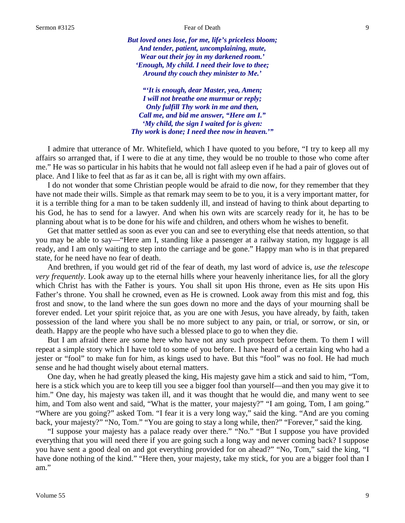*But loved ones lose, for me, life's priceless bloom; And tender, patient, uncomplaining, mute, Wear out their joy in my darkened room.' 'Enough, My child. I need their love to thee; Around thy couch they minister to Me.'*

*"'It is enough, dear Master, yea, Amen; I will not breathe one murmur or reply; Only fulfill Thy work in me and then, Call me, and bid me answer, "Here am I." 'My child, the sign I waited for is given: Thy work* **is** *done; I need thee now in heaven.'"*

I admire that utterance of Mr. Whitefield, which I have quoted to you before, "I try to keep all my affairs so arranged that, if I were to die at any time, they would be no trouble to those who come after me." He was so particular in his habits that he would not fall asleep even if he had a pair of gloves out of place. And I like to feel that as far as it can be, all is right with my own affairs.

I do not wonder that some Christian people would be afraid to die now, for they remember that they have not made their wills. Simple as that remark may seem to be to you, it is a very important matter, for it is a terrible thing for a man to be taken suddenly ill, and instead of having to think about departing to his God, he has to send for a lawyer. And when his own wits are scarcely ready for it, he has to be planning about what is to be done for his wife and children, and others whom he wishes to benefit.

Get that matter settled as soon as ever you can and see to everything else that needs attention, so that you may be able to say—"Here am I, standing like a passenger at a railway station, my luggage is all ready, and I am only waiting to step into the carriage and be gone." Happy man who is in that prepared state, for he need have no fear of death.

And brethren, if you would get rid of the fear of death, my last word of advice is, *use the telescope very frequently*. Look away up to the eternal hills where your heavenly inheritance lies, for all the glory which Christ has with the Father is yours. You shall sit upon His throne, even as He sits upon His Father's throne. You shall he crowned, even as He is crowned. Look away from this mist and fog, this frost and snow, to the land where the sun goes down no more and the days of your mourning shall be forever ended. Let your spirit rejoice that, as you are one with Jesus, you have already, by faith, taken possession of the land where you shall be no more subject to any pain, or trial, or sorrow, or sin, or death. Happy are the people who have such a blessed place to go to when they die.

But I am afraid there are some here who have not any such prospect before them. To them I will repeat a simple story which I have told to some of you before. I have heard of a certain king who had a jester or "fool" to make fun for him, as kings used to have. But this "fool" was no fool. He had much sense and he had thought wisely about eternal matters.

One day, when he had greatly pleased the king, His majesty gave him a stick and said to him, "Tom, here is a stick which you are to keep till you see a bigger fool than yourself—and then you may give it to him." One day, his majesty was taken ill, and it was thought that he would die, and many went to see him, and Tom also went and said, "What is the matter, your majesty?" "I am going, Tom, I am going." "Where are you going?" asked Tom. "I fear it is a very long way," said the king. "And are you coming back, your majesty?" "No, Tom." "You are going to stay a long while, then?" "Forever," said the king.

"I suppose your majesty has a palace ready over there." "No." "But I suppose you have provided everything that you will need there if you are going such a long way and never coming back? I suppose you have sent a good deal on and got everything provided for on ahead?" "No, Tom," said the king, "I have done nothing of the kind." "Here then, your majesty, take my stick, for you are a bigger fool than I am."